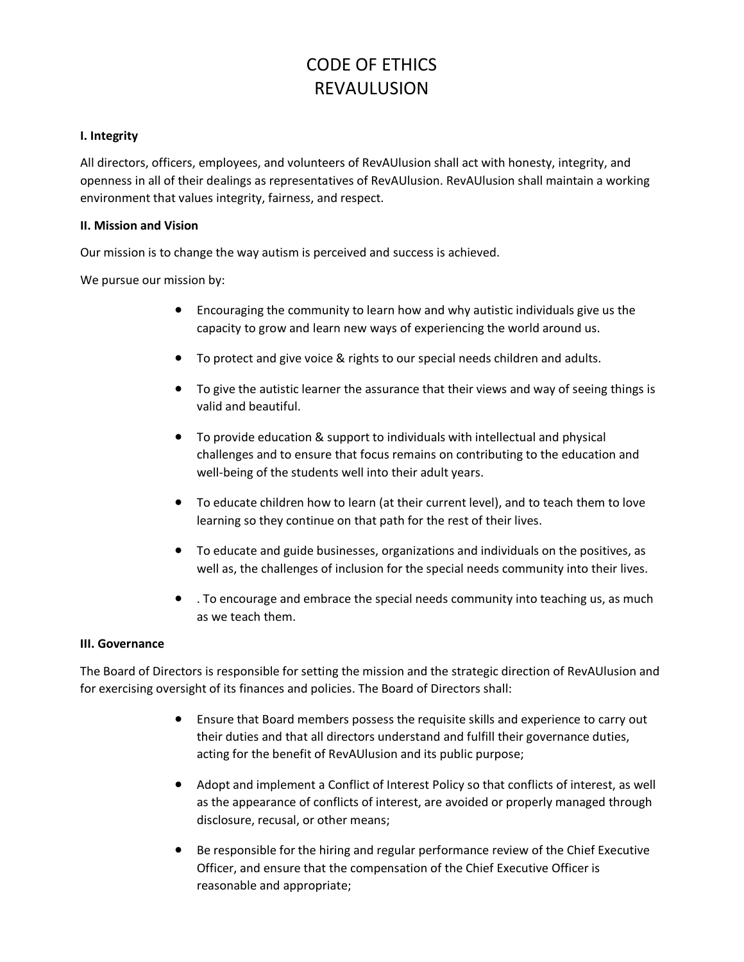#### **I. Integrity**

All directors, officers, employees, and volunteers of RevAUlusion shall act with honesty, integrity, and openness in all of their dealings as representatives of RevAUlusion. RevAUlusion shall maintain a working environment that values integrity, fairness, and respect.

#### **II. Mission and Vision**

Our mission is to change the way autism is perceived and success is achieved.

We pursue our mission by:

- Encouraging the community to learn how and why autistic individuals give us the capacity to grow and learn new ways of experiencing the world around us.
- To protect and give voice & rights to our special needs children and adults.
- To give the autistic learner the assurance that their views and way of seeing things is valid and beautiful.
- To provide education & support to individuals with intellectual and physical challenges and to ensure that focus remains on contributing to the education and well-being of the students well into their adult years.
- To educate children how to learn (at their current level), and to teach them to love learning so they continue on that path for the rest of their lives.
- To educate and guide businesses, organizations and individuals on the positives, as well as, the challenges of inclusion for the special needs community into their lives.
- . To encourage and embrace the special needs community into teaching us, as much as we teach them.

#### **III. Governance**

The Board of Directors is responsible for setting the mission and the strategic direction of RevAUlusion and for exercising oversight of its finances and policies. The Board of Directors shall:

- Ensure that Board members possess the requisite skills and experience to carry out their duties and that all directors understand and fulfill their governance duties, acting for the benefit of RevAUlusion and its public purpose;
- Adopt and implement a Conflict of Interest Policy so that conflicts of interest, as well as the appearance of conflicts of interest, are avoided or properly managed through disclosure, recusal, or other means;
- Be responsible for the hiring and regular performance review of the Chief Executive Officer, and ensure that the compensation of the Chief Executive Officer is reasonable and appropriate;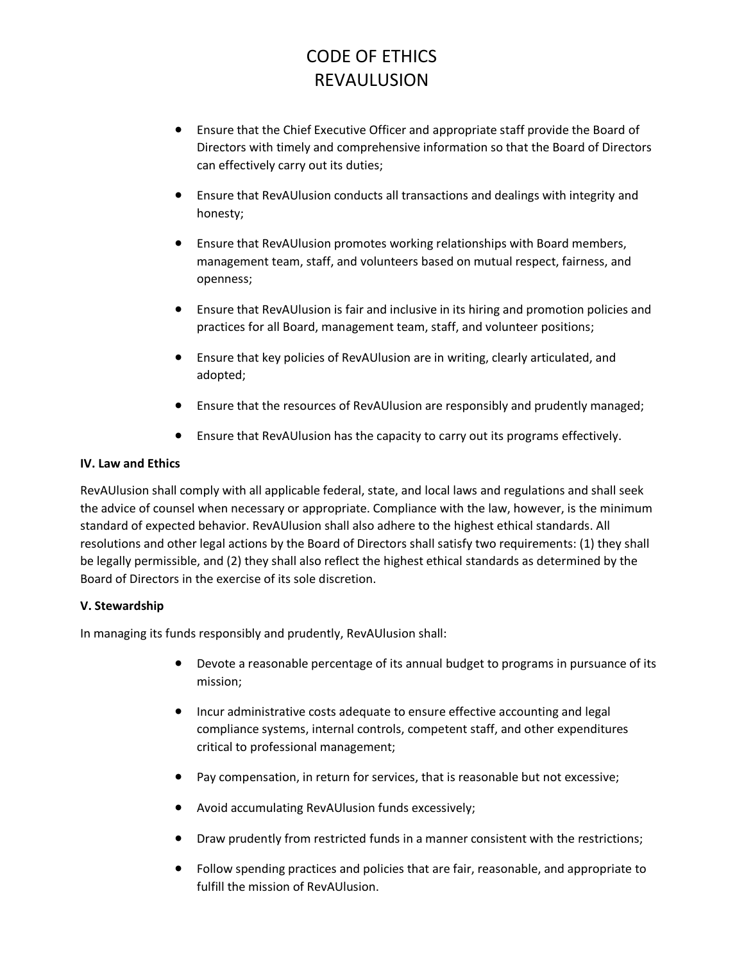- Ensure that the Chief Executive Officer and appropriate staff provide the Board of Directors with timely and comprehensive information so that the Board of Directors can effectively carry out its duties;
- Ensure that RevAUlusion conducts all transactions and dealings with integrity and honesty;
- Ensure that RevAUlusion promotes working relationships with Board members, management team, staff, and volunteers based on mutual respect, fairness, and openness;
- Ensure that RevAUlusion is fair and inclusive in its hiring and promotion policies and practices for all Board, management team, staff, and volunteer positions;
- Ensure that key policies of RevAUlusion are in writing, clearly articulated, and adopted;
- Ensure that the resources of RevAUlusion are responsibly and prudently managed;
- Ensure that RevAUlusion has the capacity to carry out its programs effectively.

#### **IV. Law and Ethics**

RevAUlusion shall comply with all applicable federal, state, and local laws and regulations and shall seek the advice of counsel when necessary or appropriate. Compliance with the law, however, is the minimum standard of expected behavior. RevAUlusion shall also adhere to the highest ethical standards. All resolutions and other legal actions by the Board of Directors shall satisfy two requirements: (1) they shall be legally permissible, and (2) they shall also reflect the highest ethical standards as determined by the Board of Directors in the exercise of its sole discretion.

### **V. Stewardship**

In managing its funds responsibly and prudently, RevAUlusion shall:

- Devote a reasonable percentage of its annual budget to programs in pursuance of its mission;
- Incur administrative costs adequate to ensure effective accounting and legal compliance systems, internal controls, competent staff, and other expenditures critical to professional management;
- Pay compensation, in return for services, that is reasonable but not excessive;
- Avoid accumulating RevAUlusion funds excessively;
- Draw prudently from restricted funds in a manner consistent with the restrictions;
- Follow spending practices and policies that are fair, reasonable, and appropriate to fulfill the mission of RevAUlusion.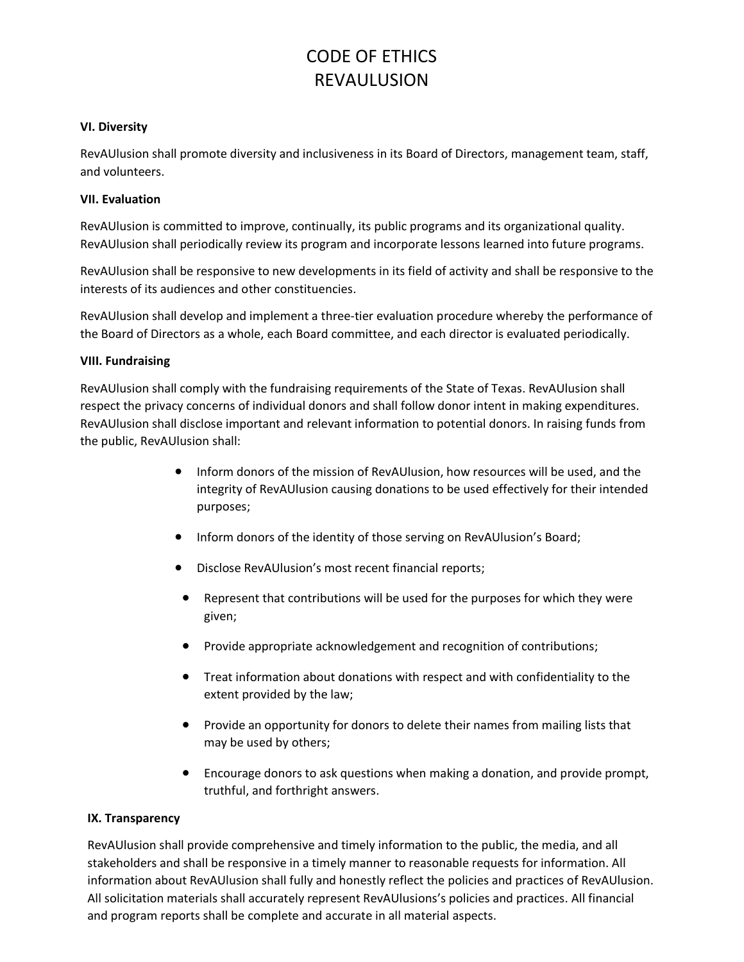#### **VI. Diversity**

RevAUlusion shall promote diversity and inclusiveness in its Board of Directors, management team, staff, and volunteers.

#### **VII. Evaluation**

RevAUlusion is committed to improve, continually, its public programs and its organizational quality. RevAUlusion shall periodically review its program and incorporate lessons learned into future programs.

RevAUlusion shall be responsive to new developments in its field of activity and shall be responsive to the interests of its audiences and other constituencies.

RevAUlusion shall develop and implement a three-tier evaluation procedure whereby the performance of the Board of Directors as a whole, each Board committee, and each director is evaluated periodically.

#### **VIII. Fundraising**

RevAUlusion shall comply with the fundraising requirements of the State of Texas. RevAUlusion shall respect the privacy concerns of individual donors and shall follow donor intent in making expenditures. RevAUlusion shall disclose important and relevant information to potential donors. In raising funds from the public, RevAUlusion shall:

- Inform donors of the mission of RevAUlusion, how resources will be used, and the integrity of RevAUlusion causing donations to be used effectively for their intended purposes;
- Inform donors of the identity of those serving on RevAUlusion's Board;
- Disclose RevAUlusion's most recent financial reports;
- Represent that contributions will be used for the purposes for which they were given;
- Provide appropriate acknowledgement and recognition of contributions;
- Treat information about donations with respect and with confidentiality to the extent provided by the law;
- Provide an opportunity for donors to delete their names from mailing lists that may be used by others;
- Encourage donors to ask questions when making a donation, and provide prompt, truthful, and forthright answers.

#### **IX. Transparency**

RevAUlusion shall provide comprehensive and timely information to the public, the media, and all stakeholders and shall be responsive in a timely manner to reasonable requests for information. All information about RevAUlusion shall fully and honestly reflect the policies and practices of RevAUlusion. All solicitation materials shall accurately represent RevAUlusions's policies and practices. All financial and program reports shall be complete and accurate in all material aspects.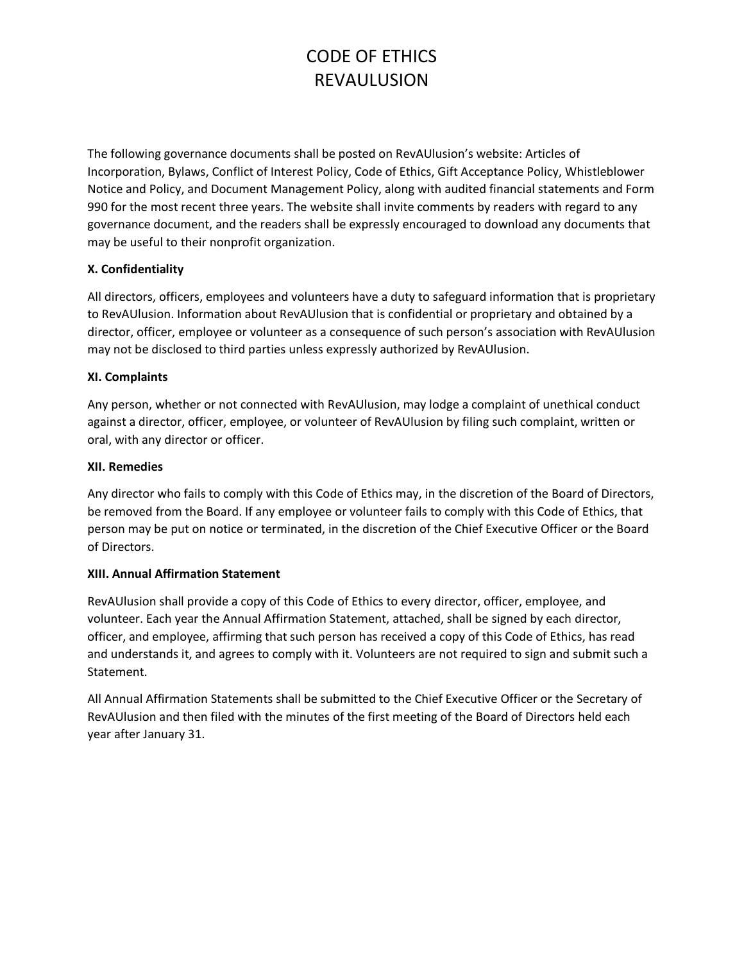The following governance documents shall be posted on RevAUlusion's website: Articles of Incorporation, Bylaws, Conflict of Interest Policy, Code of Ethics, Gift Acceptance Policy, Whistleblower Notice and Policy, and Document Management Policy, along with audited financial statements and Form 990 for the most recent three years. The website shall invite comments by readers with regard to any governance document, and the readers shall be expressly encouraged to download any documents that may be useful to their nonprofit organization.

### **X. Confidentiality**

All directors, officers, employees and volunteers have a duty to safeguard information that is proprietary to RevAUlusion. Information about RevAUlusion that is confidential or proprietary and obtained by a director, officer, employee or volunteer as a consequence of such person's association with RevAUlusion may not be disclosed to third parties unless expressly authorized by RevAUlusion.

#### **XI. Complaints**

Any person, whether or not connected with RevAUlusion, may lodge a complaint of unethical conduct against a director, officer, employee, or volunteer of RevAUlusion by filing such complaint, written or oral, with any director or officer.

#### **XII. Remedies**

Any director who fails to comply with this Code of Ethics may, in the discretion of the Board of Directors, be removed from the Board. If any employee or volunteer fails to comply with this Code of Ethics, that person may be put on notice or terminated, in the discretion of the Chief Executive Officer or the Board of Directors.

#### **XIII. Annual Affirmation Statement**

RevAUlusion shall provide a copy of this Code of Ethics to every director, officer, employee, and volunteer. Each year the Annual Affirmation Statement, attached, shall be signed by each director, officer, and employee, affirming that such person has received a copy of this Code of Ethics, has read and understands it, and agrees to comply with it. Volunteers are not required to sign and submit such a Statement.

All Annual Affirmation Statements shall be submitted to the Chief Executive Officer or the Secretary of RevAUlusion and then filed with the minutes of the first meeting of the Board of Directors held each year after January 31.